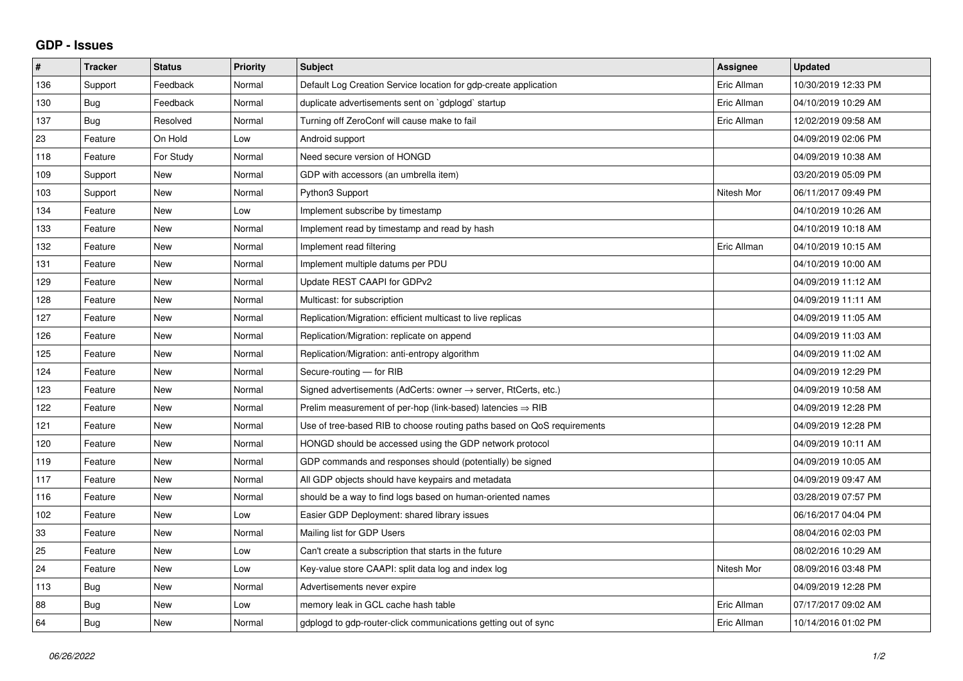## **GDP - Issues**

| $\pmb{\#}$ | <b>Tracker</b> | <b>Status</b> | Priority | <b>Subject</b>                                                          | <b>Assignee</b> | <b>Updated</b>      |
|------------|----------------|---------------|----------|-------------------------------------------------------------------------|-----------------|---------------------|
| 136        | Support        | Feedback      | Normal   | Default Log Creation Service location for gdp-create application        | Eric Allman     | 10/30/2019 12:33 PM |
| 130        | Bug            | Feedback      | Normal   | duplicate advertisements sent on `gdplogd` startup                      | Eric Allman     | 04/10/2019 10:29 AM |
| 137        | Bug            | Resolved      | Normal   | Turning off ZeroConf will cause make to fail                            | Eric Allman     | 12/02/2019 09:58 AM |
| 23         | Feature        | On Hold       | Low      | Android support                                                         |                 | 04/09/2019 02:06 PM |
| 118        | Feature        | For Study     | Normal   | Need secure version of HONGD                                            |                 | 04/09/2019 10:38 AM |
| 109        | Support        | <b>New</b>    | Normal   | GDP with accessors (an umbrella item)                                   |                 | 03/20/2019 05:09 PM |
| 103        | Support        | <b>New</b>    | Normal   | Python3 Support                                                         | Nitesh Mor      | 06/11/2017 09:49 PM |
| 134        | Feature        | <b>New</b>    | Low      | Implement subscribe by timestamp                                        |                 | 04/10/2019 10:26 AM |
| 133        | Feature        | <b>New</b>    | Normal   | Implement read by timestamp and read by hash                            |                 | 04/10/2019 10:18 AM |
| 132        | Feature        | <b>New</b>    | Normal   | Implement read filtering                                                | Eric Allman     | 04/10/2019 10:15 AM |
| 131        | Feature        | <b>New</b>    | Normal   | Implement multiple datums per PDU                                       |                 | 04/10/2019 10:00 AM |
| 129        | Feature        | <b>New</b>    | Normal   | Update REST CAAPI for GDPv2                                             |                 | 04/09/2019 11:12 AM |
| 128        | Feature        | <b>New</b>    | Normal   | Multicast: for subscription                                             |                 | 04/09/2019 11:11 AM |
| 127        | Feature        | <b>New</b>    | Normal   | Replication/Migration: efficient multicast to live replicas             |                 | 04/09/2019 11:05 AM |
| 126        | Feature        | New           | Normal   | Replication/Migration: replicate on append                              |                 | 04/09/2019 11:03 AM |
| 125        | Feature        | <b>New</b>    | Normal   | Replication/Migration: anti-entropy algorithm                           |                 | 04/09/2019 11:02 AM |
| 124        | Feature        | <b>New</b>    | Normal   | Secure-routing - for RIB                                                |                 | 04/09/2019 12:29 PM |
| 123        | Feature        | New           | Normal   | Signed advertisements (AdCerts: owner → server, RtCerts, etc.)          |                 | 04/09/2019 10:58 AM |
| 122        | Feature        | <b>New</b>    | Normal   | Prelim measurement of per-hop (link-based) latencies $\Rightarrow$ RIB  |                 | 04/09/2019 12:28 PM |
| 121        | Feature        | <b>New</b>    | Normal   | Use of tree-based RIB to choose routing paths based on QoS requirements |                 | 04/09/2019 12:28 PM |
| 120        | Feature        | New           | Normal   | HONGD should be accessed using the GDP network protocol                 |                 | 04/09/2019 10:11 AM |
| 119        | Feature        | <b>New</b>    | Normal   | GDP commands and responses should (potentially) be signed               |                 | 04/09/2019 10:05 AM |
| 117        | Feature        | <b>New</b>    | Normal   | All GDP objects should have keypairs and metadata                       |                 | 04/09/2019 09:47 AM |
| 116        | Feature        | <b>New</b>    | Normal   | should be a way to find logs based on human-oriented names              |                 | 03/28/2019 07:57 PM |
| 102        | Feature        | <b>New</b>    | Low      | Easier GDP Deployment: shared library issues                            |                 | 06/16/2017 04:04 PM |
| 33         | Feature        | <b>New</b>    | Normal   | Mailing list for GDP Users                                              |                 | 08/04/2016 02:03 PM |
| 25         | Feature        | <b>New</b>    | Low      | Can't create a subscription that starts in the future                   |                 | 08/02/2016 10:29 AM |
| 24         | Feature        | <b>New</b>    | Low      | Key-value store CAAPI: split data log and index log                     | Nitesh Mor      | 08/09/2016 03:48 PM |
| 113        | <b>Bug</b>     | <b>New</b>    | Normal   | Advertisements never expire                                             |                 | 04/09/2019 12:28 PM |
| 88         | <b>Bug</b>     | <b>New</b>    | Low      | memory leak in GCL cache hash table                                     | Eric Allman     | 07/17/2017 09:02 AM |
| 64         | <b>Bug</b>     | <b>New</b>    | Normal   | gdplogd to gdp-router-click communications getting out of sync          | Eric Allman     | 10/14/2016 01:02 PM |